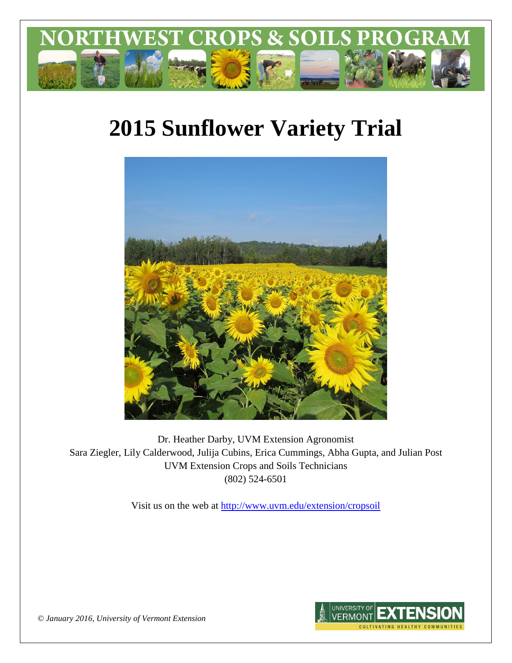

# **2015 Sunflower Variety Trial**



Dr. Heather Darby, UVM Extension Agronomist Sara Ziegler, Lily Calderwood, Julija Cubins, Erica Cummings, Abha Gupta, and Julian Post UVM Extension Crops and Soils Technicians (802) 524-6501

Visit us on the web at <http://www.uvm.edu/extension/cropsoil>



*© January 2016, University of Vermont Extension*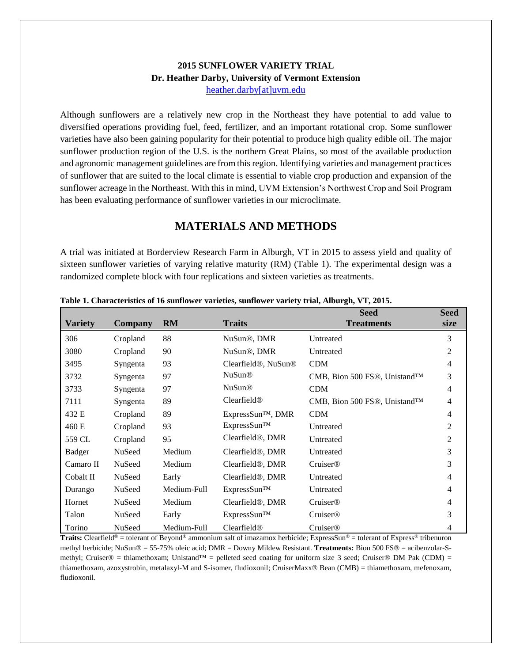### **2015 SUNFLOWER VARIETY TRIAL Dr. Heather Darby, University of Vermont Extension** [heather.darby\[at\]uvm.edu](mailto:heather.darby@uvm.edu?subject=2013%20Sunflower%20Reduced%20Tillage%20Trial)

Although sunflowers are a relatively new crop in the Northeast they have potential to add value to diversified operations providing fuel, feed, fertilizer, and an important rotational crop. Some sunflower varieties have also been gaining popularity for their potential to produce high quality edible oil. The major sunflower production region of the U.S. is the northern Great Plains, so most of the available production and agronomic management guidelines are from this region. Identifying varieties and management practices of sunflower that are suited to the local climate is essential to viable crop production and expansion of the sunflower acreage in the Northeast. With this in mind, UVM Extension's Northwest Crop and Soil Program has been evaluating performance of sunflower varieties in our microclimate.

## **MATERIALS AND METHODS**

A trial was initiated at Borderview Research Farm in Alburgh, VT in 2015 to assess yield and quality of sixteen sunflower varieties of varying relative maturity (RM) (Table 1). The experimental design was a randomized complete block with four replications and sixteen varieties as treatments.

|                |          |             |                                              | <b>Seed</b>                  | <b>Seed</b> |
|----------------|----------|-------------|----------------------------------------------|------------------------------|-------------|
| <b>Variety</b> | Company  | <b>RM</b>   | <b>Traits</b>                                | <b>Treatments</b>            | size        |
| 306            | Cropland | 88          | NuSun <sup>®</sup> , DMR                     | Untreated                    | 3           |
| 3080           | Cropland | 90          | NuSun <sup>®</sup> , DMR                     | Untreated                    | 2           |
| 3495           | Syngenta | 93          | Clearfield <sup>®</sup> , NuSun <sup>®</sup> | <b>CDM</b>                   | 4           |
| 3732           | Syngenta | 97          | <b>NuSun®</b>                                | CMB, Bion 500 FS®, Unistand™ | 3           |
| 3733           | Syngenta | 97          | <b>NuSun®</b>                                | <b>CDM</b>                   | 4           |
| 7111           | Syngenta | 89          | Clearfield <sup>®</sup>                      | CMB, Bion 500 FS®, Unistand™ | 4           |
| 432 E          | Cropland | 89          | ExpressSun™, DMR                             | <b>CDM</b>                   | 4           |
| 460 E          | Cropland | 93          | ExpressSun™                                  | Untreated                    | 2           |
| 559 CL         | Cropland | 95          | Clearfield <sup>®</sup> , DMR                | Untreated                    | 2           |
| <b>Badger</b>  | NuSeed   | Medium      | Clearfield <sup>®</sup> , DMR                | Untreated                    | 3           |
| Camaro II      | NuSeed   | Medium      | Clearfield <sup>®</sup> , DMR                | Cruiser@                     | 3           |
| Cobalt II      | NuSeed   | Early       | Clearfield <sup>®</sup> , DMR                | Untreated                    | 4           |
| Durango        | NuSeed   | Medium-Full | ExpressSun™                                  | Untreated                    | 4           |
| Hornet         | NuSeed   | Medium      | Clearfield <sup>®</sup> , DMR                | Cruiser@                     | 4           |
| Talon          | NuSeed   | Early       | $ExpressSum^{TM}$                            | Cruiser <sup>®</sup>         | 3           |
| Torino         | NuSeed   | Medium-Full | Clearfield <sup>®</sup>                      | <b>Cruiser®</b>              | 4           |

**Table 1. Characteristics of 16 sunflower varieties, sunflower variety trial, Alburgh, VT, 2015.**

**Traits:** Clearfield® = tolerant of Beyond® ammonium salt of imazamox herbicide; ExpressSun® = tolerant of Express® tribenuron methyl herbicide; NuSun® = 55-75% oleic acid; DMR = Downy Mildew Resistant. **Treatments:** Bion 500 FS® = acibenzolar-Smethyl; Cruiser® = thiamethoxam; Unistand™ = pelleted seed coating for uniform size 3 seed; Cruiser® DM Pak (CDM) = thiamethoxam, azoxystrobin, metalaxyl-M and S-isomer, fludioxonil; CruiserMaxx® Bean (CMB) = thiamethoxam, mefenoxam, fludioxonil.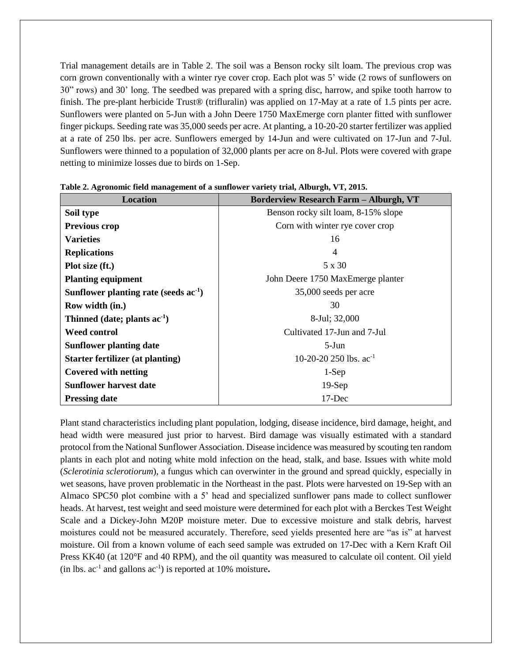Trial management details are in Table 2. The soil was a Benson rocky silt loam. The previous crop was corn grown conventionally with a winter rye cover crop. Each plot was 5' wide (2 rows of sunflowers on 30" rows) and 30' long. The seedbed was prepared with a spring disc, harrow, and spike tooth harrow to finish. The pre-plant herbicide Trust® (trifluralin) was applied on 17-May at a rate of 1.5 pints per acre. Sunflowers were planted on 5-Jun with a John Deere 1750 MaxEmerge corn planter fitted with sunflower finger pickups. Seeding rate was 35,000 seeds per acre. At planting, a 10-20-20 starter fertilizer was applied at a rate of 250 lbs. per acre. Sunflowers emerged by 14-Jun and were cultivated on 17-Jun and 7-Jul. Sunflowers were thinned to a population of 32,000 plants per acre on 8-Jul. Plots were covered with grape netting to minimize losses due to birds on 1-Sep.

| <b>Location</b>                         | <b>Borderview Research Farm - Alburgh, VT</b> |  |  |
|-----------------------------------------|-----------------------------------------------|--|--|
| Soil type                               | Benson rocky silt loam, 8-15% slope           |  |  |
| <b>Previous crop</b>                    | Corn with winter rye cover crop               |  |  |
| <b>Varieties</b>                        | 16                                            |  |  |
| <b>Replications</b>                     | 4                                             |  |  |
| Plot size (ft.)                         | 5 x 30                                        |  |  |
| <b>Planting equipment</b>               | John Deere 1750 MaxEmerge planter             |  |  |
| Sunflower planting rate (seeds $ac-1$ ) | 35,000 seeds per acre                         |  |  |
| Row width (in.)                         | 30                                            |  |  |
| Thinned (date; plants $ac^{-1}$ )       | 8-Jul; 32,000                                 |  |  |
| <b>Weed control</b>                     | Cultivated 17-Jun and 7-Jul                   |  |  |
| <b>Sunflower planting date</b>          | $5-J$ un                                      |  |  |
| Starter fertilizer (at planting)        | 10-20-20 250 lbs. $ac^{-1}$                   |  |  |
| <b>Covered with netting</b>             | $1-Sep$                                       |  |  |
| <b>Sunflower harvest date</b>           | $19-Sep$                                      |  |  |
| <b>Pressing date</b>                    | 17-Dec                                        |  |  |

**Table 2. Agronomic field management of a sunflower variety trial, Alburgh, VT, 2015.**

Plant stand characteristics including plant population, lodging, disease incidence, bird damage, height, and head width were measured just prior to harvest. Bird damage was visually estimated with a standard protocol from the National Sunflower Association. Disease incidence was measured by scouting ten random plants in each plot and noting white mold infection on the head, stalk, and base. Issues with white mold (*Sclerotinia sclerotiorum*), a fungus which can overwinter in the ground and spread quickly, especially in wet seasons, have proven problematic in the Northeast in the past. Plots were harvested on 19-Sep with an Almaco SPC50 plot combine with a 5' head and specialized sunflower pans made to collect sunflower heads. At harvest, test weight and seed moisture were determined for each plot with a Berckes Test Weight Scale and a Dickey-John M20P moisture meter. Due to excessive moisture and stalk debris, harvest moistures could not be measured accurately. Therefore, seed yields presented here are "as is" at harvest moisture. Oil from a known volume of each seed sample was extruded on 17-Dec with a Kern Kraft Oil Press KK40 (at 120°F and 40 RPM), and the oil quantity was measured to calculate oil content. Oil yield (in lbs. ac-1 and gallons ac-1 ) is reported at 10% moisture**.**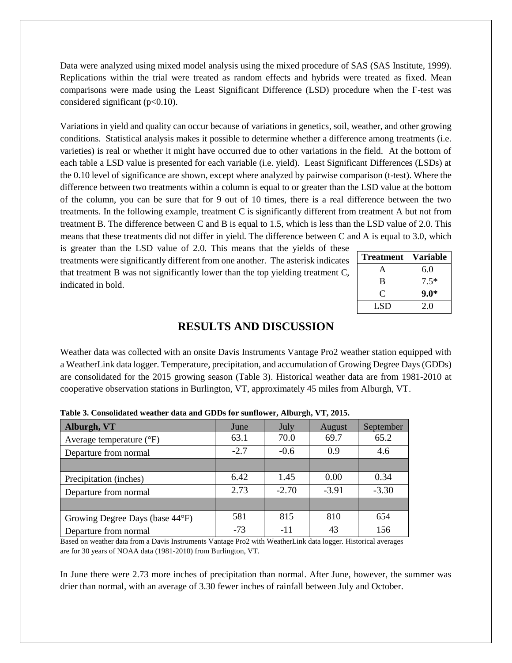Data were analyzed using mixed model analysis using the mixed procedure of SAS (SAS Institute, 1999). Replications within the trial were treated as random effects and hybrids were treated as fixed. Mean comparisons were made using the Least Significant Difference (LSD) procedure when the F-test was considered significant ( $p<0.10$ ).

Variations in yield and quality can occur because of variations in genetics, soil, weather, and other growing conditions. Statistical analysis makes it possible to determine whether a difference among treatments (i.e. varieties) is real or whether it might have occurred due to other variations in the field. At the bottom of each table a LSD value is presented for each variable (i.e. yield). Least Significant Differences (LSDs) at the 0.10 level of significance are shown, except where analyzed by pairwise comparison (t-test). Where the difference between two treatments within a column is equal to or greater than the LSD value at the bottom of the column, you can be sure that for 9 out of 10 times, there is a real difference between the two treatments. In the following example, treatment C is significantly different from treatment A but not from treatment B. The difference between C and B is equal to 1.5, which is less than the LSD value of 2.0. This means that these treatments did not differ in yield. The difference between C and A is equal to 3.0, which

is greater than the LSD value of 2.0. This means that the yields of these treatments were significantly different from one another. The asterisk indicates that treatment B was not significantly lower than the top yielding treatment C, indicated in bold.

| <b>Treatment</b> | <b>Variable</b> |
|------------------|-----------------|
| A                | 6.0             |
| B                | $7.5*$          |
| $\mathfrak{C}$   | $9.0*$          |
| LSD              | 2.0             |

#### **RESULTS AND DISCUSSION**

Weather data was collected with an onsite Davis Instruments Vantage Pro2 weather station equipped with a WeatherLink data logger. Temperature, precipitation, and accumulation of Growing Degree Days (GDDs) are consolidated for the 2015 growing season (Table 3). Historical weather data are from 1981-2010 at cooperative observation stations in Burlington, VT, approximately 45 miles from Alburgh, VT.

| Alburgh, VT                       | June   | July    | August  | September |
|-----------------------------------|--------|---------|---------|-----------|
| Average temperature $(^{\circ}F)$ | 63.1   | 70.0    | 69.7    | 65.2      |
| Departure from normal             | $-2.7$ | $-0.6$  | 0.9     | 4.6       |
|                                   |        |         |         |           |
| Precipitation (inches)            | 6.42   | 1.45    | 0.00    | 0.34      |
| Departure from normal             | 2.73   | $-2.70$ | $-3.91$ | $-3.30$   |
|                                   |        |         |         |           |
| Growing Degree Days (base 44°F)   | 581    | 815     | 810     | 654       |
| Departure from normal             | $-73$  | $-11$   | 43      | 156       |

**Table 3. Consolidated weather data and GDDs for sunflower, Alburgh, VT, 2015.**

Based on weather data from a Davis Instruments Vantage Pro2 with WeatherLink data logger. Historical averages are for 30 years of NOAA data (1981-2010) from Burlington, VT.

In June there were 2.73 more inches of precipitation than normal. After June, however, the summer was drier than normal, with an average of 3.30 fewer inches of rainfall between July and October.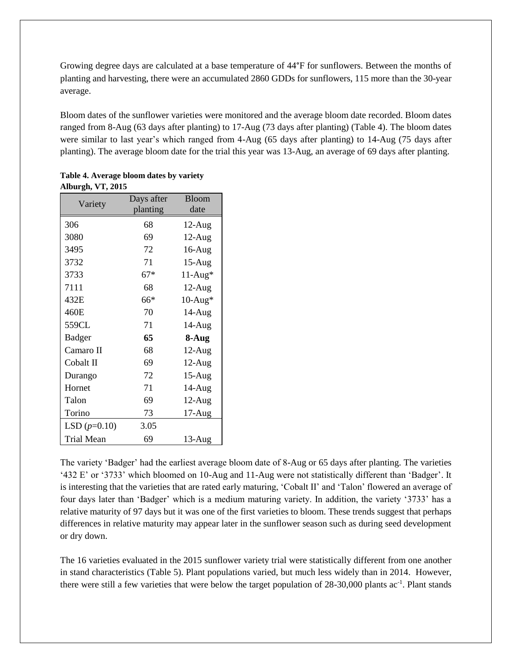Growing degree days are calculated at a base temperature of 44°F for sunflowers. Between the months of planting and harvesting, there were an accumulated 2860 GDDs for sunflowers, 115 more than the 30-year average.

Bloom dates of the sunflower varieties were monitored and the average bloom date recorded. Bloom dates ranged from 8-Aug (63 days after planting) to 17-Aug (73 days after planting) (Table 4). The bloom dates were similar to last year's which ranged from 4-Aug (65 days after planting) to 14-Aug (75 days after planting). The average bloom date for the trial this year was 13-Aug, an average of 69 days after planting.

|                   | Days after | <b>Bloom</b> |  |
|-------------------|------------|--------------|--|
| Variety           | planting   | date         |  |
| 306               | 68         | $12$ -Aug    |  |
| 3080              | 69         | $12$ -Aug    |  |
| 3495              | 72         | $16$ -Aug    |  |
| 3732              | 71         | $15-Aug$     |  |
| 3733              | $67*$      | $11-Aug*$    |  |
| 7111              | 68         | $12$ -Aug    |  |
| 432E              | 66*        | $10-Aug*$    |  |
| 460E              | 70         | $14-Aug$     |  |
| 559CL             | 71         | 14-Aug       |  |
| Badger            | 65         | 8-Aug        |  |
| Camaro II         | 68         | $12-Aug$     |  |
| Cobalt II         | 69         | $12-Aug$     |  |
| Durango           | 72         | $15-Aug$     |  |
| Hornet            | 71         | $14-Aug$     |  |
| Talon             | 69         | $12-Aug$     |  |
| Torino            | 73         | $17-Aug$     |  |
| LSD $(p=0.10)$    | 3.05       |              |  |
| <b>Trial Mean</b> | 69         | $13$ -Aug    |  |

**Table 4. Average bloom dates by variety Alburgh, VT, 2015**

The variety 'Badger' had the earliest average bloom date of 8-Aug or 65 days after planting. The varieties '432 E' or '3733' which bloomed on 10-Aug and 11-Aug were not statistically different than 'Badger'. It is interesting that the varieties that are rated early maturing, 'Cobalt II' and 'Talon' flowered an average of four days later than 'Badger' which is a medium maturing variety. In addition, the variety '3733' has a relative maturity of 97 days but it was one of the first varieties to bloom. These trends suggest that perhaps differences in relative maturity may appear later in the sunflower season such as during seed development or dry down.

The 16 varieties evaluated in the 2015 sunflower variety trial were statistically different from one another in stand characteristics (Table 5). Plant populations varied, but much less widely than in 2014. However, there were still a few varieties that were below the target population of 28-30,000 plants ac<sup>-1</sup>. Plant stands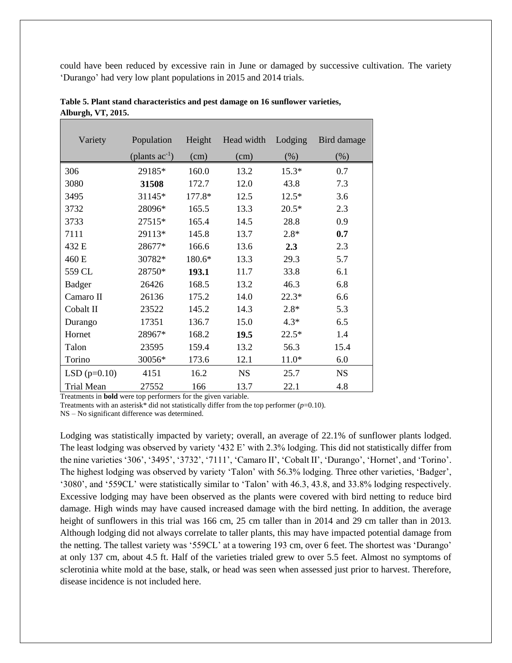could have been reduced by excessive rain in June or damaged by successive cultivation. The variety 'Durango' had very low plant populations in 2015 and 2014 trials.

| Variety           | Population          | Height | Head width | Lodging | Bird damage |
|-------------------|---------------------|--------|------------|---------|-------------|
|                   | (plants $ac^{-1}$ ) | (cm)   | (cm)       | $(\%)$  | $(\%)$      |
| 306               | 29185*              | 160.0  | 13.2       | $15.3*$ | 0.7         |
| 3080              | 31508               | 172.7  | 12.0       | 43.8    | 7.3         |
| 3495              | 31145*              | 177.8* | 12.5       | $12.5*$ | 3.6         |
| 3732              | 28096*              | 165.5  | 13.3       | $20.5*$ | 2.3         |
| 3733              | 27515*              | 165.4  | 14.5       | 28.8    | 0.9         |
| 7111              | 29113*              | 145.8  | 13.7       | $2.8*$  | 0.7         |
| 432 E             | 28677*              | 166.6  | 13.6       | 2.3     | 2.3         |
| 460 E             | 30782*              | 180.6* | 13.3       | 29.3    | 5.7         |
| 559 CL            | 28750*              | 193.1  | 11.7       | 33.8    | 6.1         |
| <b>Badger</b>     | 26426               | 168.5  | 13.2       | 46.3    | 6.8         |
| Camaro II         | 26136               | 175.2  | 14.0       | $22.3*$ | 6.6         |
| Cobalt II         | 23522               | 145.2  | 14.3       | $2.8*$  | 5.3         |
| Durango           | 17351               | 136.7  | 15.0       | $4.3*$  | 6.5         |
| Hornet            | 28967*              | 168.2  | 19.5       | $22.5*$ | 1.4         |
| Talon             | 23595               | 159.4  | 13.2       | 56.3    | 15.4        |
| Torino            | 30056*              | 173.6  | 12.1       | $11.0*$ | 6.0         |
| $LSD(p=0.10)$     | 4151                | 16.2   | <b>NS</b>  | 25.7    | <b>NS</b>   |
| <b>Trial Mean</b> | 27552               | 166    | 13.7       | 22.1    | 4.8         |

**Table 5. Plant stand characteristics and pest damage on 16 sunflower varieties, Alburgh, VT, 2015.**

Treatments in **bold** were top performers for the given variable.

Treatments with an asterisk\* did not statistically differ from the top performer  $(p=0.10)$ .

NS – No significant difference was determined.

Lodging was statistically impacted by variety; overall, an average of 22.1% of sunflower plants lodged. The least lodging was observed by variety '432 E' with 2.3% lodging. This did not statistically differ from the nine varieties '306', '3495', '3732', '7111', 'Camaro II', 'Cobalt II', 'Durango', 'Hornet', and 'Torino'. The highest lodging was observed by variety 'Talon' with 56.3% lodging. Three other varieties, 'Badger', '3080', and '559CL' were statistically similar to 'Talon' with 46.3, 43.8, and 33.8% lodging respectively. Excessive lodging may have been observed as the plants were covered with bird netting to reduce bird damage. High winds may have caused increased damage with the bird netting. In addition, the average height of sunflowers in this trial was 166 cm, 25 cm taller than in 2014 and 29 cm taller than in 2013. Although lodging did not always correlate to taller plants, this may have impacted potential damage from the netting. The tallest variety was '559CL' at a towering 193 cm, over 6 feet. The shortest was 'Durango' at only 137 cm, about 4.5 ft. Half of the varieties trialed grew to over 5.5 feet. Almost no symptoms of sclerotinia white mold at the base, stalk, or head was seen when assessed just prior to harvest. Therefore, disease incidence is not included here.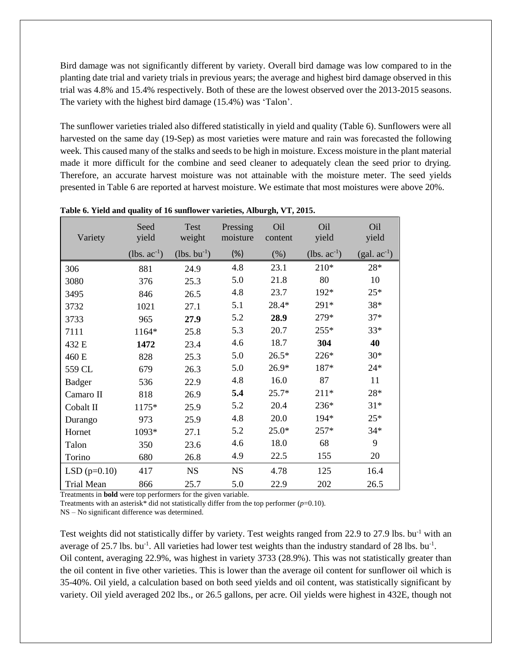Bird damage was not significantly different by variety. Overall bird damage was low compared to in the planting date trial and variety trials in previous years; the average and highest bird damage observed in this trial was 4.8% and 15.4% respectively. Both of these are the lowest observed over the 2013-2015 seasons. The variety with the highest bird damage (15.4%) was 'Talon'.

The sunflower varieties trialed also differed statistically in yield and quality (Table 6). Sunflowers were all harvested on the same day (19-Sep) as most varieties were mature and rain was forecasted the following week. This caused many of the stalks and seeds to be high in moisture. Excess moisture in the plant material made it more difficult for the combine and seed cleaner to adequately clean the seed prior to drying. Therefore, an accurate harvest moisture was not attainable with the moisture meter. The seed yields presented in Table 6 are reported at harvest moisture. We estimate that most moistures were above 20%.

| Variety           | Seed<br>yield     | Test<br>weight    | Pressing<br>moisture | Oil<br>content | Oil<br>yield      | O <sub>il</sub><br>yield |
|-------------------|-------------------|-------------------|----------------------|----------------|-------------------|--------------------------|
|                   | (lbs. $ac^{-1}$ ) | (lbs. $bu^{-1}$ ) | (%)                  | (% )           | (lbs. $ac^{-1}$ ) | $(gal. ac^{-1})$         |
| 306               | 881               | 24.9              | 4.8                  | 23.1           | $210*$            | $28*$                    |
| 3080              | 376               | 25.3              | 5.0                  | 21.8           | 80                | 10                       |
| 3495              | 846               | 26.5              | 4.8                  | 23.7           | 192*              | $25*$                    |
| 3732              | 1021              | 27.1              | 5.1                  | 28.4*          | 291*              | 38*                      |
| 3733              | 965               | 27.9              | 5.2                  | 28.9           | 279*              | $37*$                    |
| 7111              | 1164*             | 25.8              | 5.3                  | 20.7           | $255*$            | $33*$                    |
| 432 E             | 1472              | 23.4              | 4.6                  | 18.7           | 304               | 40                       |
| 460 E             | 828               | 25.3              | 5.0                  | $26.5*$        | 226*              | $30*$                    |
| 559 CL            | 679               | 26.3              | 5.0                  | $26.9*$        | 187*              | $24*$                    |
| <b>Badger</b>     | 536               | 22.9              | 4.8                  | 16.0           | 87                | 11                       |
| Camaro II         | 818               | 26.9              | 5.4                  | $25.7*$        | $211*$            | 28*                      |
| Cobalt II         | 1175*             | 25.9              | 5.2                  | 20.4           | 236*              | $31*$                    |
| Durango           | 973               | 25.9              | 4.8                  | 20.0           | 194*              | $25*$                    |
| Hornet            | 1093*             | 27.1              | 5.2                  | $25.0*$        | 257*              | $34*$                    |
| Talon             | 350               | 23.6              | 4.6                  | 18.0           | 68                | 9                        |
| Torino            | 680               | 26.8              | 4.9                  | 22.5           | 155               | 20                       |
| LSD $(p=0.10)$    | 417               | <b>NS</b>         | <b>NS</b>            | 4.78           | 125               | 16.4                     |
| <b>Trial Mean</b> | 866               | 25.7              | 5.0                  | 22.9           | 202               | 26.5                     |

**Table 6. Yield and quality of 16 sunflower varieties, Alburgh, VT, 2015.**

Treatments in **bold** were top performers for the given variable.

Treatments with an asterisk\* did not statistically differ from the top performer  $(p=0.10)$ .

NS – No significant difference was determined.

Test weights did not statistically differ by variety. Test weights ranged from 22.9 to 27.9 lbs. bu<sup>-1</sup> with an average of 25.7 lbs. bu<sup>-1</sup>. All varieties had lower test weights than the industry standard of 28 lbs. bu<sup>-1</sup>. Oil content, averaging 22.9%, was highest in variety 3733 (28.9%). This was not statistically greater than the oil content in five other varieties. This is lower than the average oil content for sunflower oil which is 35-40%. Oil yield, a calculation based on both seed yields and oil content, was statistically significant by variety. Oil yield averaged 202 lbs., or 26.5 gallons, per acre. Oil yields were highest in 432E, though not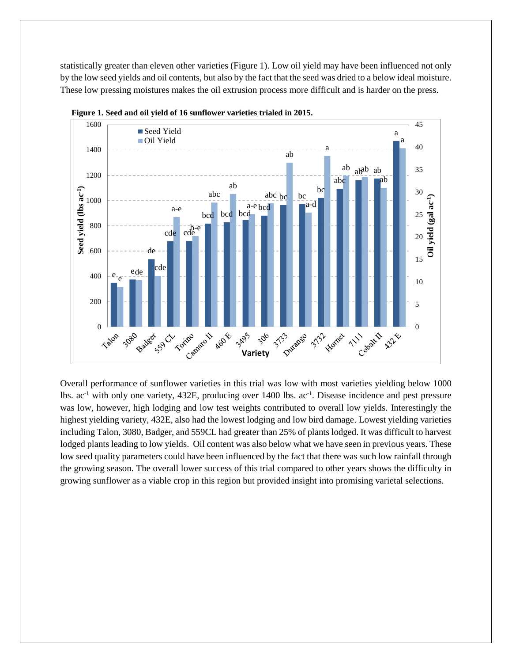statistically greater than eleven other varieties (Figure 1). Low oil yield may have been influenced not only by the low seed yields and oil contents, but also by the fact that the seed was dried to a below ideal moisture. These low pressing moistures makes the oil extrusion process more difficult and is harder on the press.





Overall performance of sunflower varieties in this trial was low with most varieties yielding below 1000 lbs. ac<sup>-1</sup> with only one variety, 432E, producing over 1400 lbs. ac<sup>-1</sup>. Disease incidence and pest pressure was low, however, high lodging and low test weights contributed to overall low yields. Interestingly the highest yielding variety, 432E, also had the lowest lodging and low bird damage. Lowest yielding varieties including Talon, 3080, Badger, and 559CL had greater than 25% of plants lodged. It was difficult to harvest lodged plants leading to low yields. Oil content was also below what we have seen in previous years. These low seed quality parameters could have been influenced by the fact that there was such low rainfall through the growing season. The overall lower success of this trial compared to other years shows the difficulty in growing sunflower as a viable crop in this region but provided insight into promising varietal selections.